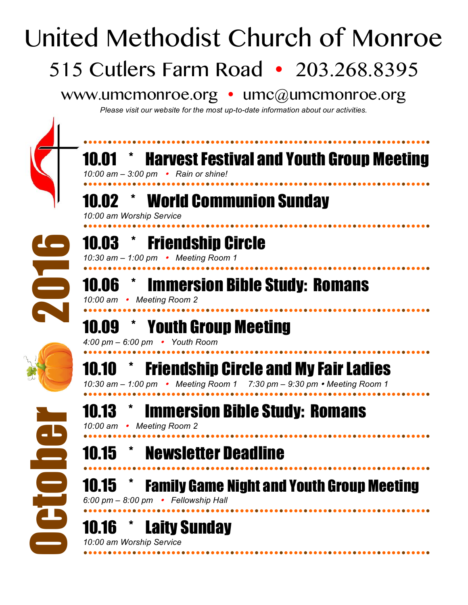